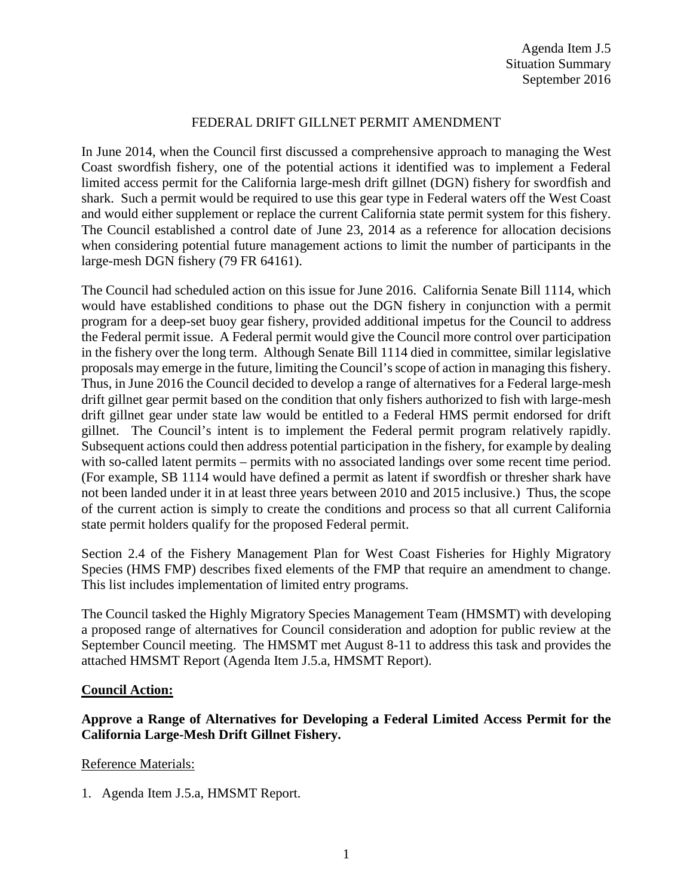### FEDERAL DRIFT GILLNET PERMIT AMENDMENT

In June 2014, when the Council first discussed a comprehensive approach to managing the West Coast swordfish fishery, one of the potential actions it identified was to implement a Federal limited access permit for the California large-mesh drift gillnet (DGN) fishery for swordfish and shark. Such a permit would be required to use this gear type in Federal waters off the West Coast and would either supplement or replace the current California state permit system for this fishery. The Council established a control date of June 23, 2014 as a reference for allocation decisions when considering potential future management actions to limit the number of participants in the large-mesh DGN fishery (79 FR 64161).

The Council had scheduled action on this issue for June 2016. California Senate Bill 1114, which would have established conditions to phase out the DGN fishery in conjunction with a permit program for a deep-set buoy gear fishery, provided additional impetus for the Council to address the Federal permit issue. A Federal permit would give the Council more control over participation in the fishery over the long term. Although Senate Bill 1114 died in committee, similar legislative proposals may emerge in the future, limiting the Council's scope of action in managing this fishery. Thus, in June 2016 the Council decided to develop a range of alternatives for a Federal large-mesh drift gillnet gear permit based on the condition that only fishers authorized to fish with large-mesh drift gillnet gear under state law would be entitled to a Federal HMS permit endorsed for drift gillnet. The Council's intent is to implement the Federal permit program relatively rapidly. Subsequent actions could then address potential participation in the fishery, for example by dealing with so-called latent permits – permits with no associated landings over some recent time period. (For example, SB 1114 would have defined a permit as latent if swordfish or thresher shark have not been landed under it in at least three years between 2010 and 2015 inclusive.) Thus, the scope of the current action is simply to create the conditions and process so that all current California state permit holders qualify for the proposed Federal permit.

Section 2.4 of the Fishery Management Plan for West Coast Fisheries for Highly Migratory Species (HMS FMP) describes fixed elements of the FMP that require an amendment to change. This list includes implementation of limited entry programs.

The Council tasked the Highly Migratory Species Management Team (HMSMT) with developing a proposed range of alternatives for Council consideration and adoption for public review at the September Council meeting. The HMSMT met August 8-11 to address this task and provides the attached HMSMT Report (Agenda Item J.5.a, HMSMT Report).

### **Council Action:**

## **Approve a Range of Alternatives for Developing a Federal Limited Access Permit for the California Large-Mesh Drift Gillnet Fishery.**

### Reference Materials:

1. Agenda Item J.5.a, HMSMT Report.